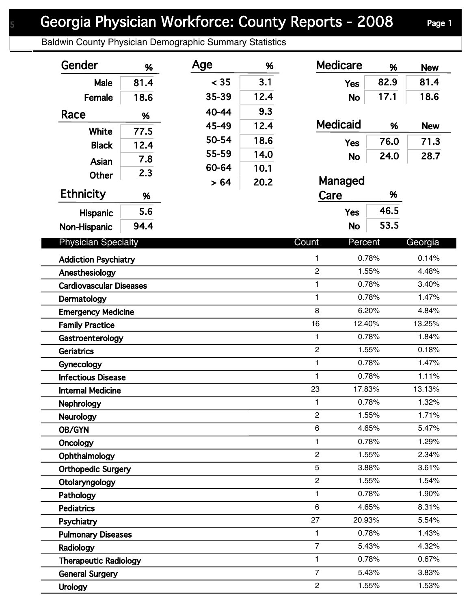## Georgia Physician Workforce: County Reports - 2008 Page 1

Baldwin County Physician Demographic Summary Statistics

| Gender                         | %    | Age   | %    | <b>Medicare</b>  | %      | <b>New</b> |
|--------------------------------|------|-------|------|------------------|--------|------------|
| Male                           | 81.4 | < 35  | 3.1  | <b>Yes</b>       | 82.9   | 81.4       |
| Female                         | 18.6 | 35-39 | 12.4 | <b>No</b>        | 17.1   | 18.6       |
| Race                           |      | 40-44 | 9.3  |                  |        |            |
|                                | %    | 45-49 | 12.4 | <b>Medicaid</b>  | %      | <b>New</b> |
| <b>White</b>                   | 77.5 | 50-54 | 18.6 |                  | 76.0   | 71.3       |
| <b>Black</b>                   | 12.4 | 55-59 | 14.0 | <b>Yes</b>       |        |            |
| Asian                          | 7.8  | 60-64 | 10.1 | <b>No</b>        | 24.0   | 28.7       |
| <b>Other</b>                   | 2.3  | > 64  | 20.2 | Managed          |        |            |
| <b>Ethnicity</b>               | %    |       |      | Care             | %      |            |
|                                | 5.6  |       |      |                  | 46.5   |            |
| Hispanic                       |      |       |      | <b>Yes</b>       |        |            |
| Non-Hispanic                   | 94.4 |       |      | <b>No</b>        | 53.5   |            |
| <b>Physician Specialty</b>     |      |       |      | Count<br>Percent |        | Georgia    |
| <b>Addiction Psychiatry</b>    |      |       |      | 1                | 0.78%  | 0.14%      |
| Anesthesiology                 |      |       |      | $\overline{c}$   | 1.55%  | 4.48%      |
| <b>Cardiovascular Diseases</b> |      |       |      | 1                | 0.78%  | 3.40%      |
| Dermatology                    |      |       |      | 1                | 0.78%  | 1.47%      |
| <b>Emergency Medicine</b>      |      |       |      | 8                | 6.20%  | 4.84%      |
| <b>Family Practice</b>         |      |       |      | 16               | 12.40% | 13.25%     |
| Gastroenterology               |      |       |      | $\mathbf{1}$     | 0.78%  | 1.84%      |
| <b>Geriatrics</b>              |      |       |      | $\boldsymbol{2}$ | 1.55%  | 0.18%      |
| Gynecology                     |      |       |      | $\mathbf{1}$     | 0.78%  | 1.47%      |
| <b>Infectious Disease</b>      |      |       |      | $\mathbf{1}$     | 0.78%  | 1.11%      |
| <b>Internal Medicine</b>       |      |       |      | 23               | 17.83% | 13.13%     |
| Nephrology                     |      |       |      | 1                | 0.78%  | 1.32%      |
| <b>Neurology</b>               |      |       |      | $\overline{2}$   | 1.55%  | 1.71%      |
| OB/GYN                         |      |       |      | 6                | 4.65%  | 5.47%      |
| Oncology                       |      |       |      | 1                | 0.78%  | 1.29%      |
| Ophthalmology                  |      |       |      | $\overline{2}$   | 1.55%  | 2.34%      |
| <b>Orthopedic Surgery</b>      |      |       |      | 5                | 3.88%  | 3.61%      |
| Otolaryngology                 |      |       |      | $\overline{c}$   | 1.55%  | 1.54%      |
| Pathology                      |      |       |      | 1                | 0.78%  | 1.90%      |
| <b>Pediatrics</b>              |      |       |      | 6                | 4.65%  | 8.31%      |
| Psychiatry                     |      |       |      | 27               | 20.93% | 5.54%      |
| <b>Pulmonary Diseases</b>      |      |       |      | 1                | 0.78%  | 1.43%      |
| Radiology                      |      |       |      | $\overline{7}$   | 5.43%  | 4.32%      |
| <b>Therapeutic Radiology</b>   |      |       |      | $\mathbf{1}$     | 0.78%  | 0.67%      |
| <b>General Surgery</b>         |      |       |      | $\overline{7}$   | 5.43%  | 3.83%      |
| <b>Urology</b>                 |      |       |      | $\overline{c}$   | 1.55%  | 1.53%      |